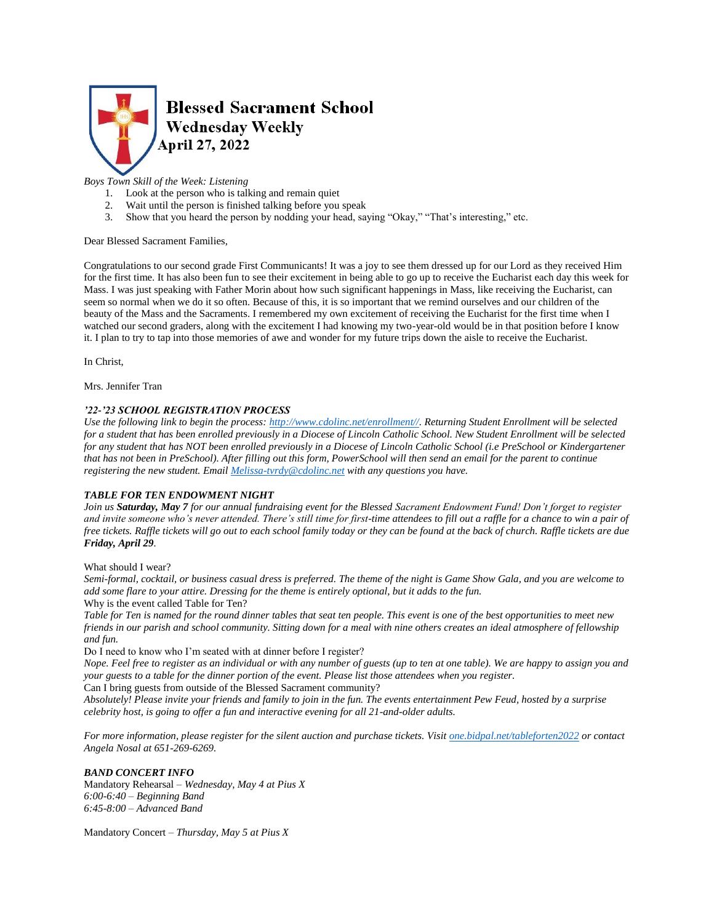

# *Boys Town Skill of the Week: Listening*

- 1. Look at the person who is talking and remain quiet
- 2. Wait until the person is finished talking before you speak
- 3. Show that you heard the person by nodding your head, saying "Okay," "That's interesting," etc.

### Dear Blessed Sacrament Families,

Congratulations to our second grade First Communicants! It was a joy to see them dressed up for our Lord as they received Him for the first time. It has also been fun to see their excitement in being able to go up to receive the Eucharist each day this week for Mass. I was just speaking with Father Morin about how such significant happenings in Mass, like receiving the Eucharist, can seem so normal when we do it so often. Because of this, it is so important that we remind ourselves and our children of the beauty of the Mass and the Sacraments. I remembered my own excitement of receiving the Eucharist for the first time when I watched our second graders, along with the excitement I had knowing my two-year-old would be in that position before I know it. I plan to try to tap into those memories of awe and wonder for my future trips down the aisle to receive the Eucharist.

In Christ,

Mrs. Jennifer Tran

## *'22-'23 SCHOOL REGISTRATION PROCESS*

*Use the following link to begin the process: [http://www.cdolinc.net/enrollment//.](http://www.cdolinc.net/enrollment/) Returning Student Enrollment will be selected for a student that has been enrolled previously in a Diocese of Lincoln Catholic School. New Student Enrollment will be selected for any student that has NOT been enrolled previously in a Diocese of Lincoln Catholic School (i.e PreSchool or Kindergartener that has not been in PreSchool). After filling out this form, PowerSchool will then send an email for the parent to continue registering the new student. Email [Melissa-tvrdy@cdolinc.net](mailto:Melissa-tvrdy@cdolinc.net) with any questions you have.*

## *TABLE FOR TEN ENDOWMENT NIGHT*

*Join us Saturday, May 7 for our annual fundraising event for the Blessed Sacrament Endowment Fund! Don't forget to register and invite someone who's never attended. There's still time for first-time attendees to fill out a raffle for a chance to win a pair of free tickets. Raffle tickets will go out to each school family today or they can be found at the back of church. Raffle tickets are due Friday, April 29.* 

What should I wear?

*Semi-formal, cocktail, or business casual dress is preferred. The theme of the night is Game Show Gala, and you are welcome to add some flare to your attire. Dressing for the theme is entirely optional, but it adds to the fun.* Why is the event called Table for Ten?

*Table for Ten is named for the round dinner tables that seat ten people. This event is one of the best opportunities to meet new friends in our parish and school community. Sitting down for a meal with nine others creates an ideal atmosphere of fellowship and fun.*

Do I need to know who I'm seated with at dinner before I register?

*Nope. Feel free to register as an individual or with any number of guests (up to ten at one table). We are happy to assign you and your guests to a table for the dinner portion of the event. Please list those attendees when you register.*

Can I bring guests from outside of the Blessed Sacrament community?

*Absolutely! Please invite your friends and family to join in the fun. The events entertainment Pew Feud, hosted by a surprise celebrity host, is going to offer a fun and interactive evening for all 21-and-older adults.*

*For more information, please register for the silent auction and purchase tickets. Visit <u>[one.bidpal.net/tableforten2022](http://one.bidpal.net/tableforten2022)</u> <i>or contact Angela Nosal at 651-269-6269.*

## *BAND CONCERT INFO*

Mandatory Rehearsal *– Wednesday, May 4 at Pius X 6:00-6:40 – Beginning Band 6:45-8:00 – Advanced Band*

Mandatory Concert *– Thursday, May 5 at Pius X*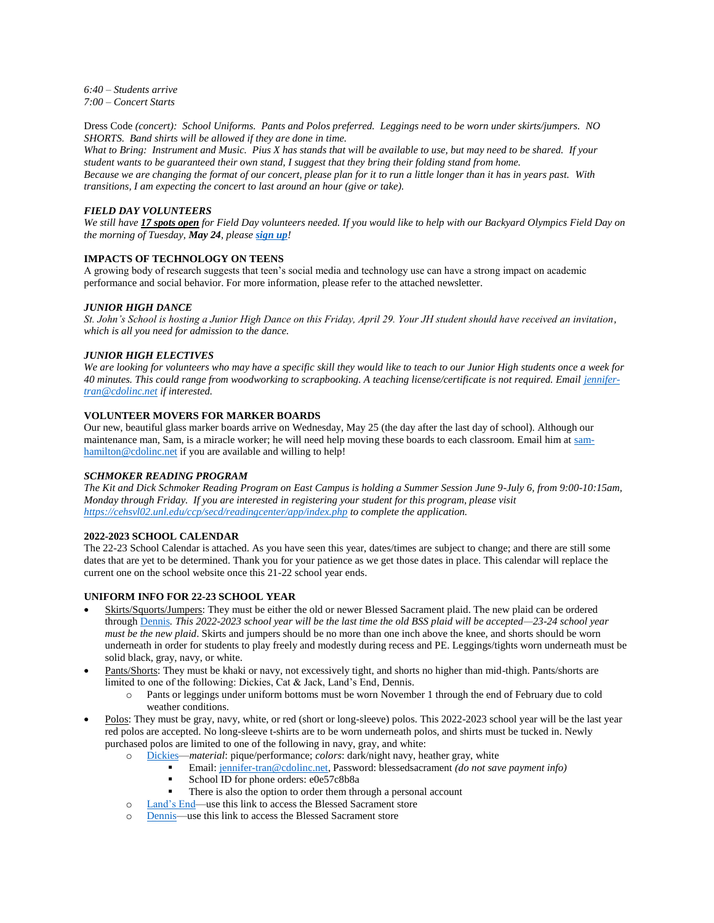*6:40 – Students arrive 7:00 – Concert Starts*

Dress Code *(concert): School Uniforms. Pants and Polos preferred. Leggings need to be worn under skirts/jumpers. NO SHORTS. Band shirts will be allowed if they are done in time.*

*What to Bring: Instrument and Music. Pius X has stands that will be available to use, but may need to be shared. If your student wants to be guaranteed their own stand, I suggest that they bring their folding stand from home. Because we are changing the format of our concert, please plan for it to run a little longer than it has in years past. With transitions, I am expecting the concert to last around an hour (give or take).*

### *FIELD DAY VOLUNTEERS*

*We still have 17 spots open for Field Day volunteers needed. If you would like to help with our Backyard Olympics Field Day on the morning of Tuesday, May 24, please [sign up](https://www.signupgenius.com/go/805084CAFAE23A5FB6-field)!*

## **IMPACTS OF TECHNOLOGY ON TEENS**

A growing body of research suggests that teen's social media and technology use can have a strong impact on academic performance and social behavior. For more information, please refer to the attached newsletter.

### *JUNIOR HIGH DANCE*

*St. John's School is hosting a Junior High Dance on this Friday, April 29. Your JH student should have received an invitation, which is all you need for admission to the dance.*

### *JUNIOR HIGH ELECTIVES*

*We are looking for volunteers who may have a specific skill they would like to teach to our Junior High students once a week for 40 minutes. This could range from woodworking to scrapbooking. A teaching license/certificate is not required. Emai[l jennifer](mailto:jennifer-tran@cdolinc.net)[tran@cdolinc.net](mailto:jennifer-tran@cdolinc.net) if interested.* 

## **VOLUNTEER MOVERS FOR MARKER BOARDS**

Our new, beautiful glass marker boards arrive on Wednesday, May 25 (the day after the last day of school). Although our maintenance man, Sam, is a miracle worker; he will need help moving these boards to each classroom. Email him a[t sam](mailto:sam-hamilton@cdolinc.net)[hamilton@cdolinc.net](mailto:sam-hamilton@cdolinc.net) if you are available and willing to help!

#### *SCHMOKER READING PROGRAM*

*The Kit and Dick Schmoker Reading Program on East Campus is holding a Summer Session June 9-July 6, from 9:00-10:15am, Monday through Friday. If you are interested in registering your student for this program, please visit <https://cehsvl02.unl.edu/ccp/secd/readingcenter/app/index.php> to complete the application.*

#### **2022-2023 SCHOOL CALENDAR**

The 22-23 School Calendar is attached. As you have seen this year, dates/times are subject to change; and there are still some dates that are yet to be determined. Thank you for your patience as we get those dates in place. This calendar will replace the current one on the school website once this 21-22 school year ends.

#### **UNIFORM INFO FOR 22-23 SCHOOL YEAR**

- Skirts/Squorts/Jumpers: They must be either the old or newer Blessed Sacrament plaid. The new plaid can be ordered throug[h Dennis](https://www.dennisuniform.com/schools/PBL)*. This 2022-2023 school year will be the last time the old BSS plaid will be accepted—23-24 school year must be the new plaid*. Skirts and jumpers should be no more than one inch above the knee, and shorts should be worn underneath in order for students to play freely and modestly during recess and PE. Leggings/tights worn underneath must be solid black, gray, navy, or white.
- Pants/Shorts: They must be khaki or navy, not excessively tight, and shorts no higher than mid-thigh. Pants/shorts are limited to one of the following: Dickies, Cat & Jack, Land's End, Dennis.
	- Pants or leggings under uniform bottoms must be worn November 1 through the end of February due to cold weather conditions.
- Polos: They must be gray, navy, white, or red (short or long-sleeve) polos. This 2022-2023 school year will be the last year red polos are accepted. No long-sleeve t-shirts are to be worn underneath polos, and shirts must be tucked in. Newly purchased polos are limited to one of the following in navy, gray, and white:
	- o [Dickies—](https://www.dickies.com/account)*material*: pique/performance; *colors*: dark/night navy, heather gray, white
		- Email: [jennifer-tran@cdolinc.net,](mailto:jennifer-tran@cdolinc.net) Password: blessedsacrament *(do not save payment info)*
		- School ID for phone orders: e0e57c8b8a
		- There is also the option to order them through a personal account
	- o [Land's End—](https://business.landsend.com/store/blessed-sacrament-uniform/)use this link to access the Blessed Sacrament store
	- o [Dennis—](https://www.dennisuniform.com/schools/PBL)use this link to access the Blessed Sacrament store